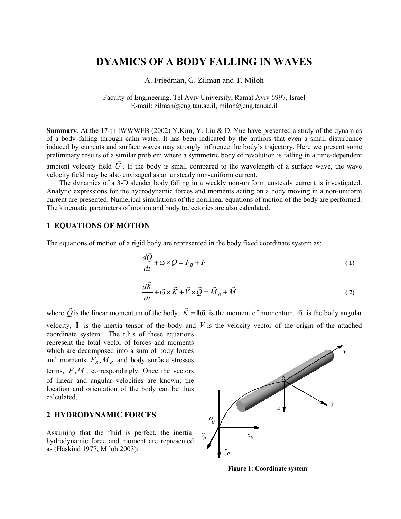# **DYAMICS OF A BODY FALLING IN WAVES**

#### A. Friedman, G. Zilman and T. Miloh

#### Faculty of Engineering, Tel Aviv University, Ramat Aviv 6997, Israel E-mail: zilman@eng.tau.ac.il, miloh@eng.tau.ac.il

**Summary**. At the 17-th IWWWFB (2002) Y.Kim, Y. Liu & D. Yue have presented a study of the dynamics of a body falling through calm water. It has been indicated by the authors that even a small disturbance induced by currents and surface waves may strongly influence the body's trajectory. Here we present some preliminary results of a similar problem where a symmetric body of revolution is falling in a time-dependent ambient velocity field  $\vec{U}$ . If the body is small compared to the wavelength of a surface wave, the wave velocity field may be also envisaged as an unsteady non-uniform current.

The dynamics of a 3-D slender body falling in a weakly non-uniform unsteady current is investigated. Analytic expressions for the hydrodynamic forces and moments acting on a body moving in a non-uniform current are presented. Numerical simulations of the nonlinear equations of motion of the body are performed. The kinematic parameters of motion and body trajectories are also calculated.

#### **1 EQUATIONS OF MOTION**

The equations of motion of a rigid body are represented in the body fixed coordinate system as:

$$
\frac{d\vec{Q}}{dt} + \vec{\omega} \times \vec{Q} = \vec{F}_B + \vec{F}
$$
 (1)

$$
\frac{d\vec{K}}{dt} + \vec{\omega} \times \vec{K} + \vec{V} \times \vec{Q} = \vec{M}_B + \vec{M}
$$
 (2)

where  $\vec{Q}$  is the linear momentum of the body,  $\vec{K} = I\vec{\omega}$  is the moment of momentum,  $\vec{\omega}$  is the body angular velocity, **I** is the inertia tensor of the body and  $\vec{V}$  is the velocity vector of the origin of the attached

coordinate system. The r.h.s of these equations represent the total vector of forces and moments which are decomposed into a sum of body forces and moments  $F_B$ ,  $M_B$  and body surface stresses terms,  $F, M$ , correspondingly. Once the vectors of linear and angular velocities are known, the location and orientation of the body can be thus calculated.

## **2 HYDRODYNAMIC FORCES**

Assuming that the fluid is perfect, the inertial hydrodynamic force and moment are represented as (Haskind 1977, Miloh 2003):



**Figure 1: Coordinate system**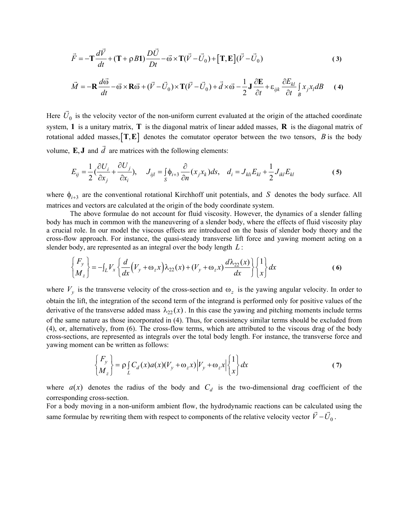$$
\vec{F} = -\mathbf{T}\frac{d\vec{V}}{dt} + (\mathbf{T} + \rho B\mathbf{1})\frac{D\vec{U}}{Dt} - \vec{\omega} \times \mathbf{T}(\vec{V} - \vec{U}_0) + [\mathbf{T}, \mathbf{E}](\vec{V} - \vec{U}_0)
$$
\n(3)

$$
\vec{M} = -\mathbf{R}\frac{d\vec{\omega}}{dt} - \vec{\omega} \times \mathbf{R}\vec{\omega} + (\vec{V} - \vec{U}_0) \times \mathbf{T}(\vec{V} - \vec{U}_0) + \vec{d} \times \vec{\omega} - \frac{1}{2}\mathbf{J}\frac{\partial \mathbf{E}}{\partial t} + \varepsilon_{ijk}\frac{\partial E_{kl}}{\partial t}\int_{B} x_j x_l dB
$$
 (4)

rotational added masses,  $[T, E]$  denotes the comutator operator between the two tensors, B is the body Here  $\vec{U}_0$  is the velocity vector of the non-uniform current evaluated at the origin of the attached coordinate system, 1 is a unitary matrix,  $T$  is the diagonal matrix of linear added masses,  $\bf{R}$  is the diagonal matrix of volume,  $\mathbf{E}, \mathbf{J}$  and  $\dot{d}$  are matrices with the following elements:  $\overrightarrow{ }$ 

$$
E_{ij} = \frac{1}{2} \left( \frac{\partial U_i}{\partial x_j} + \frac{\partial U_j}{\partial x_i} \right), \quad J_{ijl} = \int_S \phi_{i+3} \frac{\partial}{\partial n} (x_j x_k) ds, \quad d_i = J_{kli} E_{kl} + \frac{1}{2} J_{ikl} E_{kl}
$$
 (5)

where  $\phi_{i+3}$  are the conventional rotational Kirchhoff unit potentials, and S denotes the body surface. All matrices and vectors are calculated at the origin of the body coordinate system.

The above formulae do not account for fluid viscosity. However, the dynamics of a slender falling body has much in common with the maneuvering of a slender body, where the effects of fluid viscosity play a crucial role. In our model the viscous effects are introduced on the basis of slender body theory and the cross-flow approach. For instance, the quasi-steady transverse lift force and yawing moment acting on a slender body, are represented as an integral over the body length *L* :

$$
\begin{Bmatrix} F_y \\ M_z \end{Bmatrix} = -\int_L V_x \left\{ \frac{d}{dx} \left( V_y + \omega_z x \right) \lambda_{22}(x) + \left( V_y + \omega_z x \right) \frac{d \lambda_{22}(x)}{dx} \right\} \begin{Bmatrix} 1 \\ x \end{Bmatrix} dx \tag{6}
$$

where  $V_y$  is the transverse velocity of the cross-section and  $\omega_z$  is the yawing angular velocity. In order to obtain the lift, the integration of the second term of the integrand is performed only for positive values of the derivative of the transverse added mass  $\lambda_{22}(x)$ . In this case the yawing and pitching moments include terms of the same nature as those incorporated in (4). Thus, for consistency similar terms should be excluded from (4), or, alternatively, from (6). The cross-flow terms, which are attributed to the viscous drag of the body cross-sections, are represented as integrals over the total body length. For instance, the transverse force and yawing moment can be written as follows:

$$
\begin{Bmatrix} F_y \\ M_z \end{Bmatrix} = \rho \int_L C_d(x) a(x) (V_y + \omega_z x) \Big| V_y + \omega_z x \Big| \begin{Bmatrix} 1 \\ x \end{Bmatrix} dx \tag{7}
$$

where  $a(x)$  denotes the radius of the body and  $C_d$  is the two-dimensional drag coefficient of the corresponding cross-section.

For a body moving in a non-uniform ambient flow, the hydrodynamic reactions can be calculated using the same formulae by rewriting them with respect to components of the relative velocity vector  $\vec{V} - \vec{U}_0$ .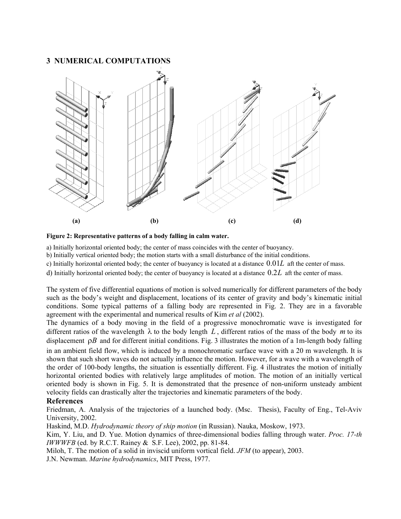## **3 NUMERICAL COMPUTATIONS**





a) Initially horizontal oriented body; the center of mass coincides with the center of buoyancy.

b) Initially vertical oriented body; the motion starts with a small disturbance of the initial conditions.

c) Initially horizontal oriented body; the center of buoyancy is located at a distance 0.01*L* aft the center of mass.

d) Initially horizontal oriented body; the center of buoyancy is located at a distance 0.2*L* aft the center of mass.

The system of five differential equations of motion is solved numerically for different parameters of the body such as the body's weight and displacement, locations of its center of gravity and body's kinematic initial conditions. Some typical patterns of a falling body are represented in Fig. 2. They are in a favorable agreement with the experimental and numerical results of Kim *et al* (2002).

The dynamics of a body moving in the field of a progressive monochromatic wave is investigated for different ratios of the wavelength  $\lambda$  to the body length  $L$ , different ratios of the mass of the body  $m$  to its displacement  $\rho B$  and for different initial conditions. Fig. 3 illustrates the motion of a 1m-length body falling in an ambient field flow, which is induced by a monochromatic surface wave with a 20 m wavelength. It is shown that such short waves do not actually influence the motion. However, for a wave with a wavelength of the order of 100-body lengths, the situation is essentially different. Fig. 4 illustrates the motion of initially horizontal oriented bodies with relatively large amplitudes of motion. The motion of an initially vertical oriented body is shown in Fig. 5. It is demonstrated that the presence of non-uniform unsteady ambient velocity fields can drastically alter the trajectories and kinematic parameters of the body.

### **References**

Friedman, A. Analysis of the trajectories of a launched body. (Msc. Thesis), Faculty of Eng., Tel-Aviv University, 2002.

Haskind, M.D. *Hydrodynamic theory of ship motion* (in Russian). Nauka, Moskow, 1973.

Kim, Y. Liu, and D. Yue. Motion dynamics of three-dimensional bodies falling through water. *Proc. 17-th IWWWFB* (ed. by R.C.T. Rainey & S.F. Lee), 2002, pp. 81-84.

Miloh, T. The motion of a solid in inviscid uniform vortical field. *JFM* (to appear), 2003.

J.N. Newman. *Marine hydrodynamics*, MIT Press, 1977.